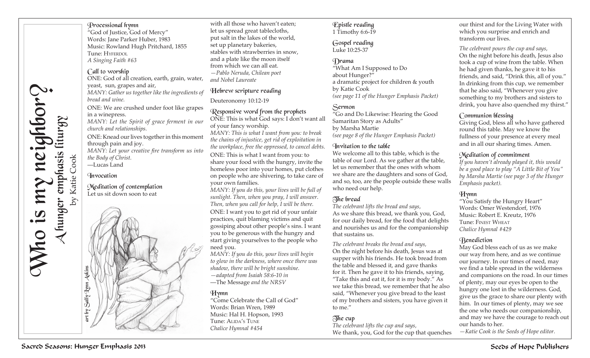## Processional hymn

"God of Justice, God of Mercy" Words: Jane Parker Huber, 1983 Music: Rowland Hugh Pritchard, 1855 Tune: HYFERDOL *A Singing Faith #63*

#### Call to worship

ONE: God of all creation, earth, grain, water, yeast, sun, grapes and air, *MANY: Gather us together like the ingredients of bread and wine.* ONE: We are crushed under foot like grapes in a winepress. *MANY: Let the Spirit of grace ferment in our church and relationships.* ONE: Knead our lives together in this moment through pain and joy. *MANY: Let your creative fire transform us into the Body of Christ.*

—Lucas Land **Invocation** 

Meditation of contemplation Let us sit down soon to eat



with all those who haven't eaten; let us spread great tablecloths, put salt in the lakes of the world, set up planetary bakeries, stables with strawberries in snow, and a plate like the moon itself from which we can all eat. *—Pablo Neruda, Chilean poet and Nobel Laureate*

Hebrew scripture reading

Deuteronomy 10:12-19

# Responsive word from the prophets

ONE: This is what God says: I don't want all of your fancy worship.

*MANY: This is what I want from you: to break the chains of injustice, get rid of exploitation in the workplace, free the oppressed, to cancel debts.* ONE: This is what I want from you: to share your food with the hungry, invite the homeless poor into your homes, put clothes on people who are shivering, to take care of your own families.

*MANY: If you do this, your lives will be full of sunlight. Then, when you pray, I will answer. Then, when you call for help, I will be there.* ONE: I want you to get rid of your unfair practices, quit blaming victims and quit gossiping about other people's sins. I want you to be generous with the hungry and start giving yourselves to the people who need you.

*MANY: If you do this, your lives will begin to glow in the darkness, where once there was shadow, there will be bright sunshine. —adapted from Isaiah 58:6-10 in*  —The Message *and the NRSV*

## **Hymn**

"Come Celebrate the Call of God" Words: Brian Wren, 1989 Music: Hal H. Hopson, 1993 Tune: Alida's Tune *Chalice Hymnal #454*

#### Epistle reading 1 Timothy 6:6-19

#### Gospel reading Luke 10:25-37

#### Drama

"What Am I Supposed to Do about Hunger?" a dramatic project for children & youth by Katie Cook *(see page 11 of the Hunger Emphasis Packet)*

## Sermon

"Go and Do Likewise: Hearing the Good Samaritan Story as Adults" by Marsha Martie *(see page 8 of the Hunger Emphasis Packet)*

#### Invitation to the table

We welcome all to this table, which is the table of our Lord. As we gather at the table, let us remember that the ones with whom we share are the daughters and sons of God, and so, too, are the people outside these walls who need our help.

## The bread

*The celebrant lifts the bread and says,*  As we share this bread, we thank you, God, for our daily bread, for the food that delights and nourishes us and for the companionship that sustains us.

*The celebrant breaks the bread and says,* On the night before his death, Jesus was at supper with his friends. He took bread from the table and blessed it, and gave thanks for it. Then he gave it to his friends, saying, "Take this and eat it, for it is my body." As we take this bread, we remember that he also said, "Whenever you give bread to the least of my brothers and sisters, you have given it to me."

# $\overline{0}$  ne cup

*The celebrant lifts the cup and says,*  We thank, you, God for the cup that quenches

our thirst and for the Living Water with which you surprise and enrich and transform our lives.

*The celebrant pours the cup and says,* On the night before his death, Jesus also took a cup of wine from the table. When he had given thanks, he gave it to his friends, and said, "Drink this, all of you." In drinking from this cup, we remember that he also said, "Whenever you give something to my brothers and sisters to drink, you have also quenched my thirst."

## Communion blessing

Giving God, bless all who have gathered round this table. May we know the fullness of your presence at every meal and in all our sharing times. Amen.

#### Meditation of commitment

*If you haven't already played it, this would be a good place to play "A Little Bit of You" by Marsha Martie (see page 3 of the Hunger Emphasis packet).* 

## **Hymn**

"You Satisfy the Hungry Heart" Words: Omer Westendorf, 1976 Music: Robert E. Kreutz, 1976 Tune: Finest Wheat *Chalice Hymnal #429*

## **Renediction**

May God bless each of us as we make our way from here, and as we continue our journey. In our times of need, may we find a table spread in the wilderness and companions on the road. In our times of plenty, may our eyes be open to the hungry one lost in the wilderness. God, give us the grace to share our plenty with him. In our times of plenty, may we see the one who needs our companionship, and may we have the courage to reach out our hands to her.

*—Katie Cook is the Seeds of Hope editor.*